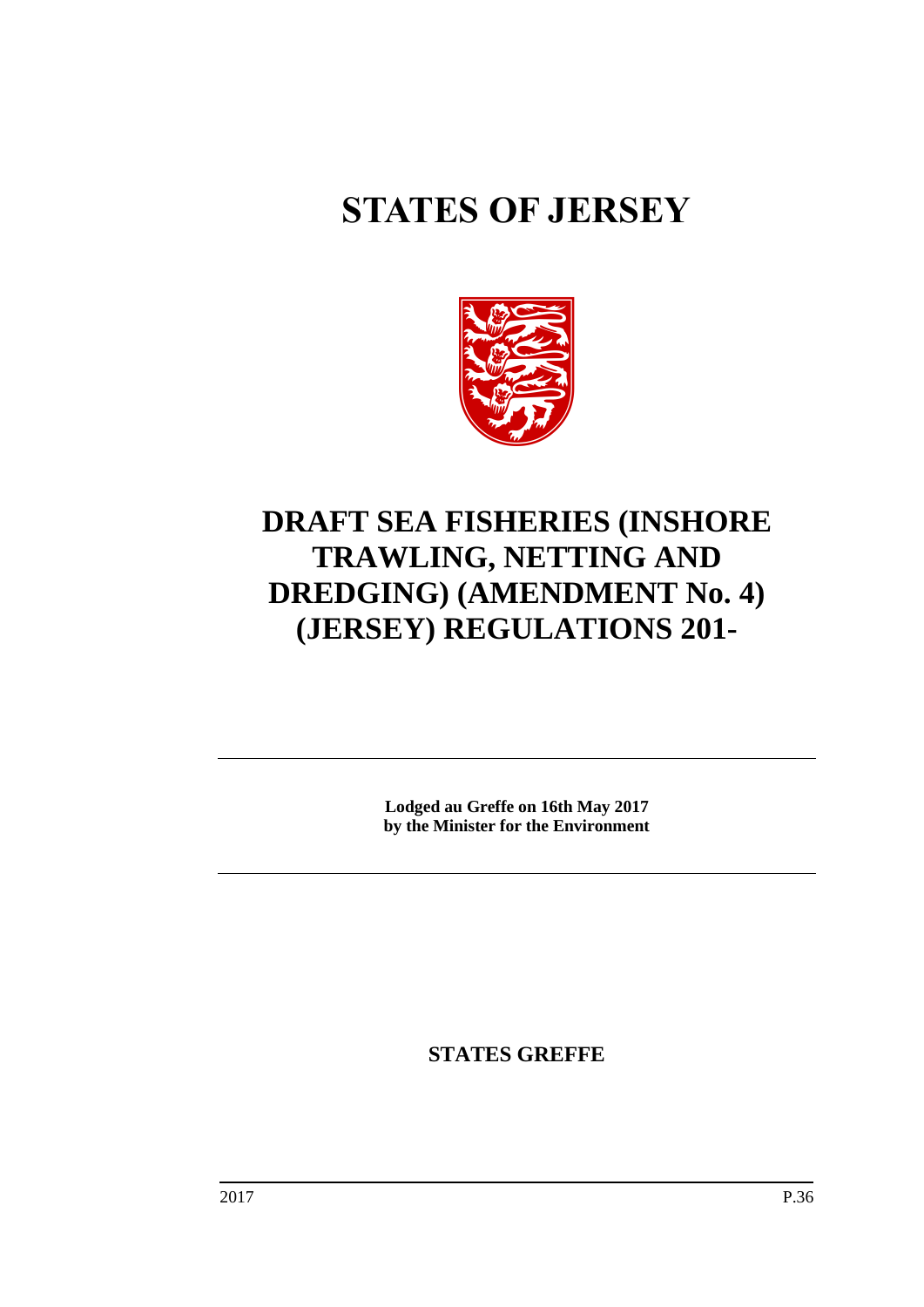# **STATES OF JERSEY**



## **DRAFT SEA FISHERIES (INSHORE TRAWLING, NETTING AND DREDGING) (AMENDMENT No. 4) (JERSEY) REGULATIONS 201-**

**Lodged au Greffe on 16th May 2017 by the Minister for the Environment**

**STATES GREFFE**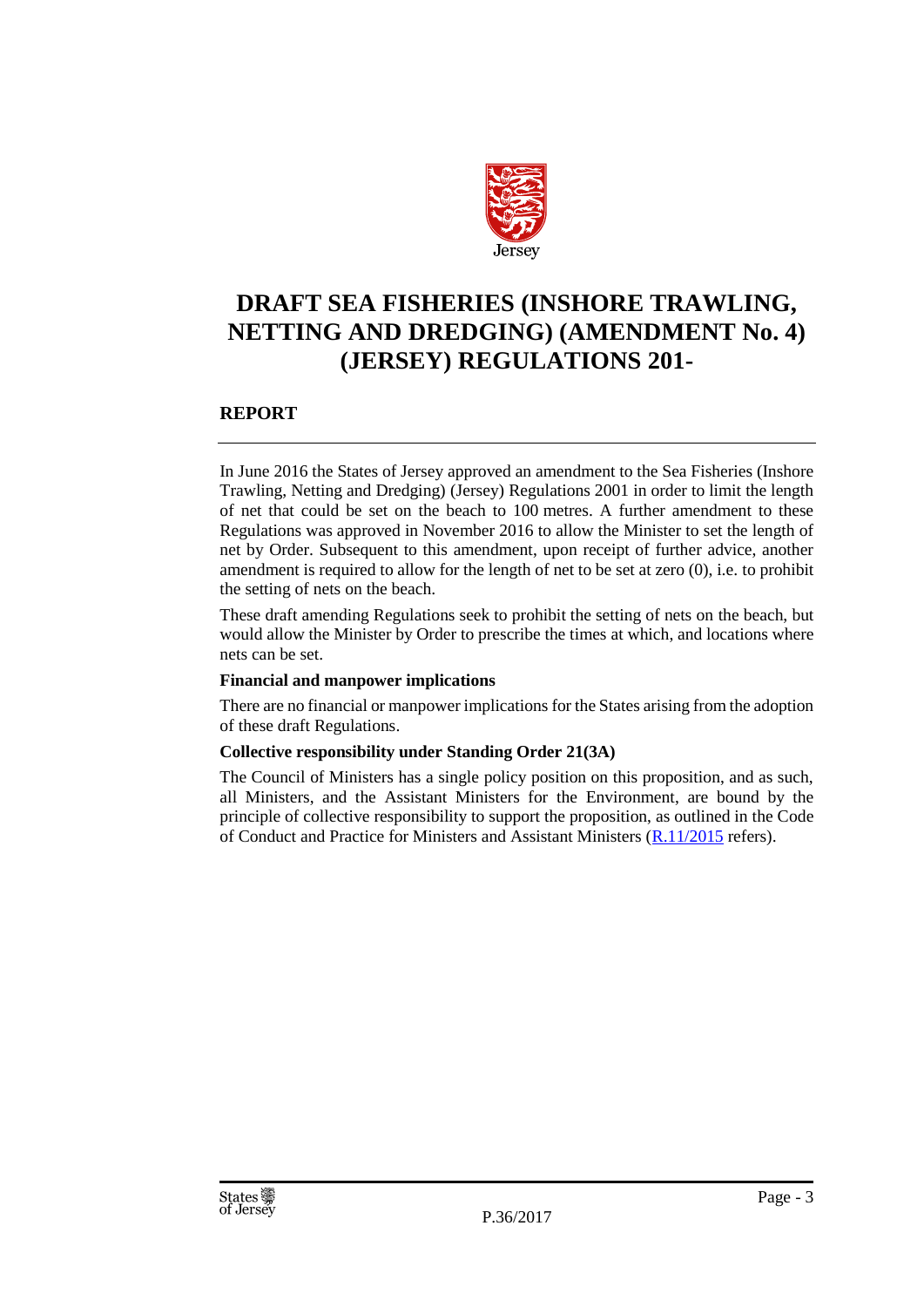

### **DRAFT SEA FISHERIES (INSHORE TRAWLING, NETTING AND DREDGING) (AMENDMENT No. 4) (JERSEY) REGULATIONS 201-**

#### **REPORT**

In June 2016 the States of Jersey approved an amendment to the Sea Fisheries (Inshore Trawling, Netting and Dredging) (Jersey) Regulations 2001 in order to limit the length of net that could be set on the beach to 100 metres. A further amendment to these Regulations was approved in November 2016 to allow the Minister to set the length of net by Order. Subsequent to this amendment, upon receipt of further advice, another amendment is required to allow for the length of net to be set at zero (0), i.e. to prohibit the setting of nets on the beach.

These draft amending Regulations seek to prohibit the setting of nets on the beach, but would allow the Minister by Order to prescribe the times at which, and locations where nets can be set.

#### **Financial and manpower implications**

There are no financial or manpower implications for the States arising from the adoption of these draft Regulations.

#### **Collective responsibility under Standing Order 21(3A)**

The Council of Ministers has a single policy position on this proposition, and as such, all Ministers, and the Assistant Ministers for the Environment, are bound by the principle of collective responsibility to support the proposition, as outlined in the Code of Conduct and Practice for Ministers and Assistant Ministers [\(R.11/2015](http://www.statesassembly.gov.je/AssemblyReports/2015/R.11-2015.pdf) refers).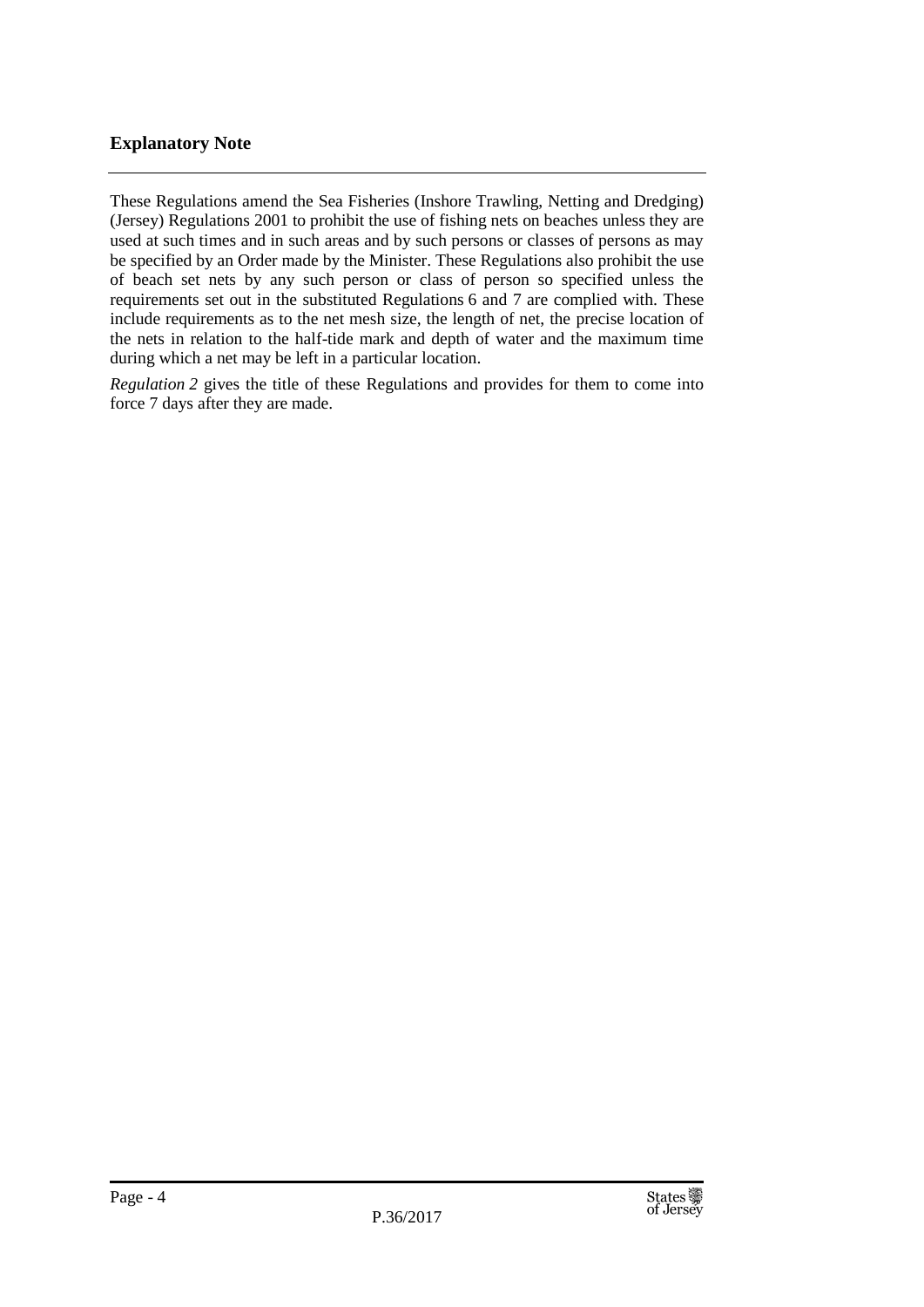#### **Explanatory Note**

These Regulations amend the Sea Fisheries (Inshore Trawling, Netting and Dredging) (Jersey) Regulations 2001 to prohibit the use of fishing nets on beaches unless they are used at such times and in such areas and by such persons or classes of persons as may be specified by an Order made by the Minister. These Regulations also prohibit the use of beach set nets by any such person or class of person so specified unless the requirements set out in the substituted Regulations 6 and 7 are complied with. These include requirements as to the net mesh size, the length of net, the precise location of the nets in relation to the half-tide mark and depth of water and the maximum time during which a net may be left in a particular location.

*Regulation 2* gives the title of these Regulations and provides for them to come into force 7 days after they are made.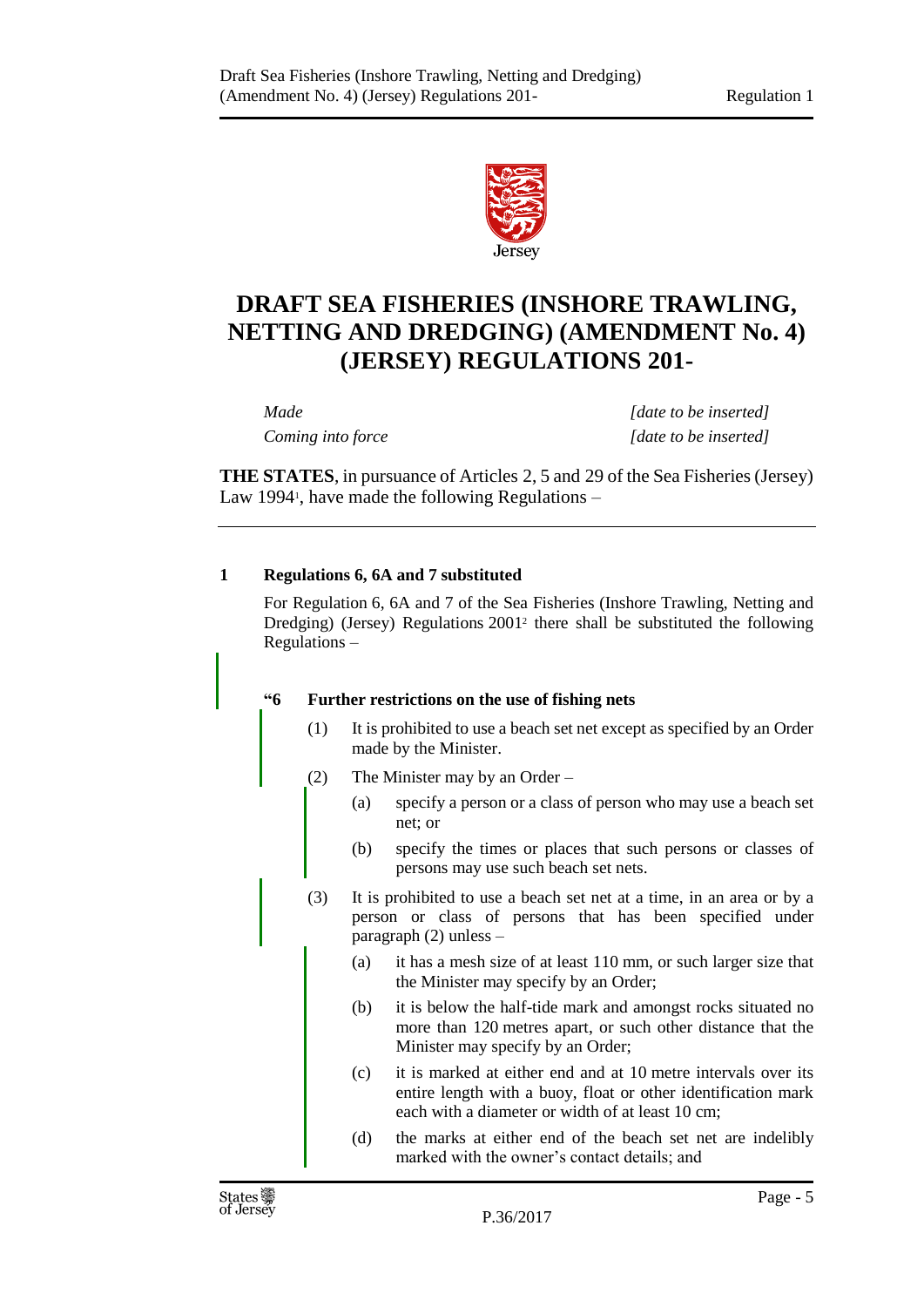

## **DRAFT SEA FISHERIES (INSHORE TRAWLING, NETTING AND DREDGING) (AMENDMENT No. 4) (JERSEY) REGULATIONS 201-**

*Made [date to be inserted] Coming into force [date to be inserted]*

**THE STATES**, in pursuance of Articles 2, 5 and 29 of the Sea Fisheries (Jersey) Law 1994<sup>1</sup>, have made the following Regulations –

#### **1 Regulations 6, 6A and 7 substituted**

For Regulation 6, 6A and 7 of the Sea Fisheries (Inshore Trawling, Netting and Dredging) (Jersey) Regulations 2001<sup>2</sup> there shall be substituted the following Regulations –

#### **"6 Further restrictions on the use of fishing nets**

- (1) It is prohibited to use a beach set net except as specified by an Order made by the Minister.
- (2) The Minister may by an Order
	- (a) specify a person or a class of person who may use a beach set net; or
	- (b) specify the times or places that such persons or classes of persons may use such beach set nets.
- (3) It is prohibited to use a beach set net at a time, in an area or by a person or class of persons that has been specified under paragraph (2) unless –
	- (a) it has a mesh size of at least 110 mm, or such larger size that the Minister may specify by an Order;
	- (b) it is below the half-tide mark and amongst rocks situated no more than 120 metres apart, or such other distance that the Minister may specify by an Order;
	- (c) it is marked at either end and at 10 metre intervals over its entire length with a buoy, float or other identification mark each with a diameter or width of at least 10 cm;
	- (d) the marks at either end of the beach set net are indelibly marked with the owner's contact details; and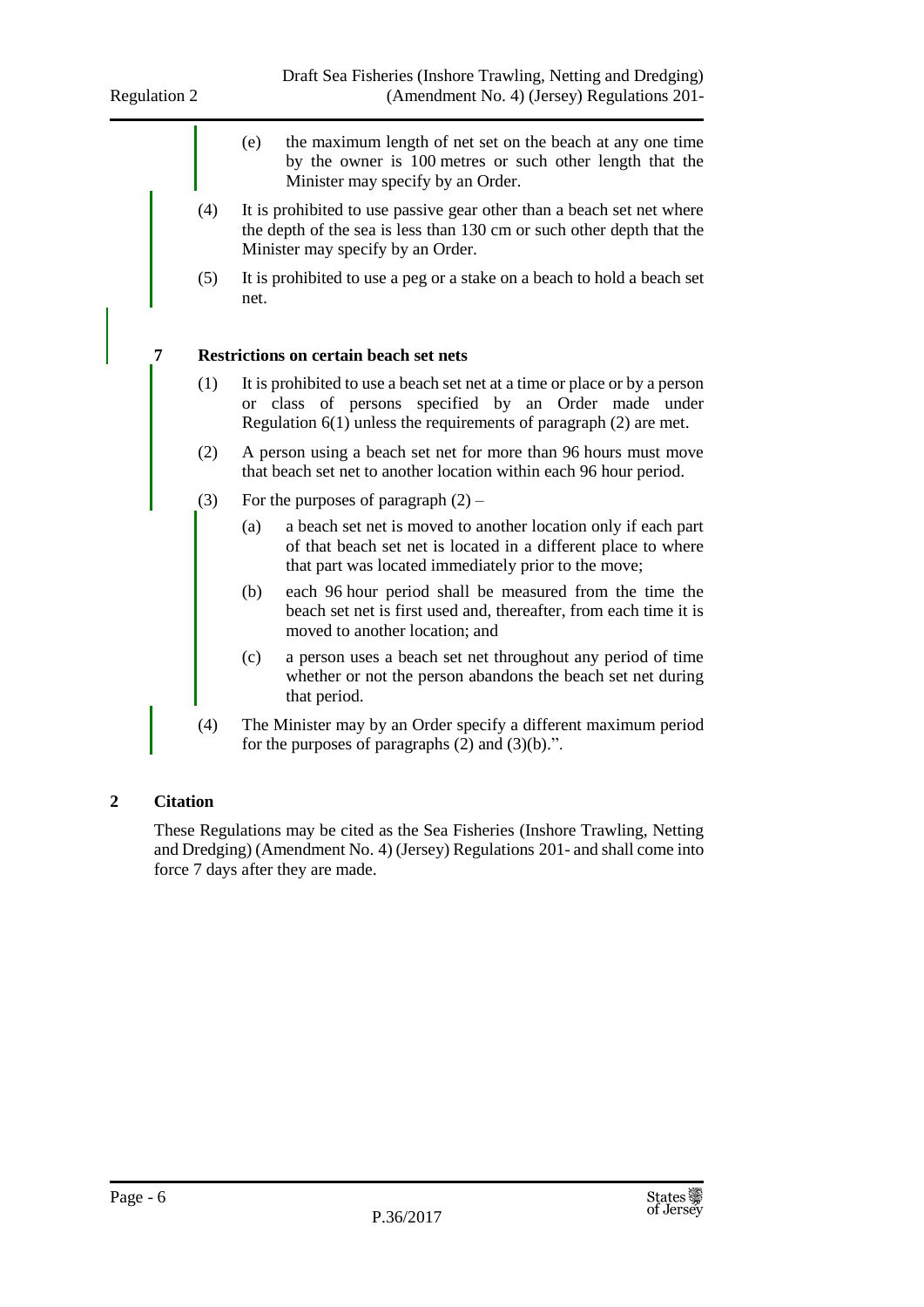- (e) the maximum length of net set on the beach at any one time by the owner is 100 metres or such other length that the Minister may specify by an Order.
- (4) It is prohibited to use passive gear other than a beach set net where the depth of the sea is less than 130 cm or such other depth that the Minister may specify by an Order.
- (5) It is prohibited to use a peg or a stake on a beach to hold a beach set net.

#### **7 Restrictions on certain beach set nets**

- (1) It is prohibited to use a beach set net at a time or place or by a person or class of persons specified by an Order made under Regulation 6(1) unless the requirements of paragraph (2) are met.
- (2) A person using a beach set net for more than 96 hours must move that beach set net to another location within each 96 hour period.
- (3) For the purposes of paragraph  $(2)$ 
	- (a) a beach set net is moved to another location only if each part of that beach set net is located in a different place to where that part was located immediately prior to the move;
	- (b) each 96 hour period shall be measured from the time the beach set net is first used and, thereafter, from each time it is moved to another location; and
	- (c) a person uses a beach set net throughout any period of time whether or not the person abandons the beach set net during that period.
- (4) The Minister may by an Order specify a different maximum period for the purposes of paragraphs  $(2)$  and  $(3)(b)$ .".

#### **2 Citation**

These Regulations may be cited as the Sea Fisheries (Inshore Trawling, Netting and Dredging) (Amendment No. 4) (Jersey) Regulations 201- and shall come into force 7 days after they are made.